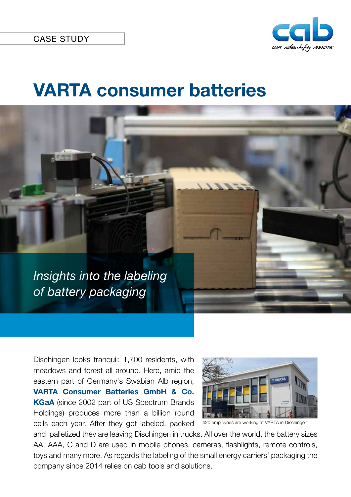

## **VARTA consumer batteries**

*Insights into the labeling of battery packaging*

> Dischingen looks tranquil: 1,700 residents, with meadows and forest all around. Here, amid the eastern part of Germany's Swabian Alb region, **VARTA Consumer Batteries GmbH & Co. KGaA** (since 2002 part of US Spectrum Brands Holdings) produces more than a billion round cells each year. After they got labeled, packed



<sup>420</sup> employees are working at VARTA in Dischingen

and palletized they are leaving Dischingen in trucks. All over the world, the battery sizes AA, AAA, C and D are used in mobile phones, cameras, flashlights, remote controls, toys and many more. As regards the labeling of the small energy carriers' packaging the company since 2014 relies on cab tools and solutions.